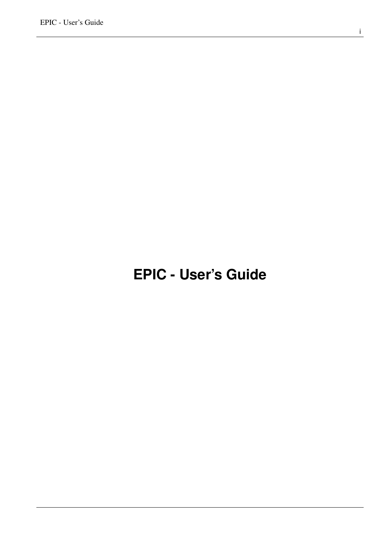# <span id="page-0-0"></span>**EPIC - User's Guide**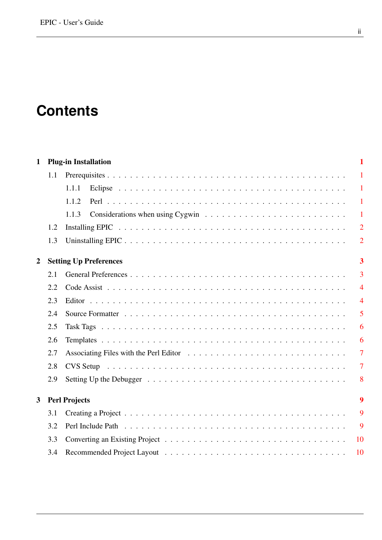# **Contents**

| $\mathbf{1}$   |     | <b>Plug-in Installation</b>                                                                                   | $\mathbf{1}$            |
|----------------|-----|---------------------------------------------------------------------------------------------------------------|-------------------------|
|                | 1.1 |                                                                                                               | $\mathbf{1}$            |
|                |     | 1.1.1                                                                                                         | $\mathbf{1}$            |
|                |     | 1.1.2                                                                                                         | $\mathbf{1}$            |
|                |     | 1.1.3                                                                                                         | $\mathbf{1}$            |
|                | 1.2 |                                                                                                               | $\overline{2}$          |
|                | 1.3 |                                                                                                               | $\overline{2}$          |
| $\overline{2}$ |     | <b>Setting Up Preferences</b>                                                                                 | $\overline{\mathbf{3}}$ |
|                | 2.1 |                                                                                                               | $\overline{3}$          |
|                | 2.2 |                                                                                                               | $\overline{4}$          |
|                | 2.3 |                                                                                                               | $\overline{4}$          |
|                | 2.4 |                                                                                                               | 5                       |
|                | 2.5 |                                                                                                               | 6                       |
|                | 2.6 |                                                                                                               | 6                       |
|                | 2.7 |                                                                                                               | $\overline{7}$          |
|                | 2.8 |                                                                                                               | $\overline{7}$          |
|                | 2.9 | Setting Up the Debugger $\ldots \ldots \ldots \ldots \ldots \ldots \ldots \ldots \ldots \ldots \ldots \ldots$ | 8                       |
| $\mathbf{3}$   |     | <b>Perl Projects</b>                                                                                          | 9                       |
|                | 3.1 |                                                                                                               | 9                       |
|                | 3.2 |                                                                                                               | 9                       |
|                | 3.3 |                                                                                                               | 10                      |
|                | 3.4 |                                                                                                               | 10                      |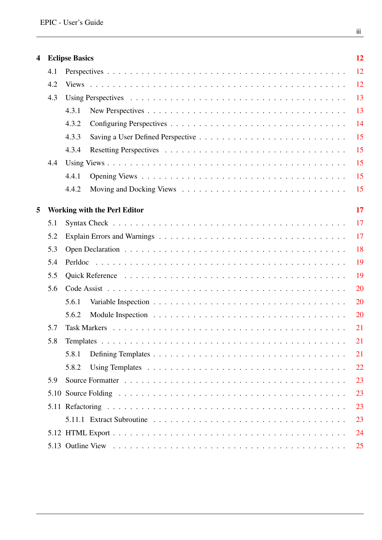| 4 |     | <b>Eclipse Basics</b>               | 12 |
|---|-----|-------------------------------------|----|
|   | 4.1 |                                     | 12 |
|   | 4.2 |                                     | 12 |
|   | 4.3 |                                     | 13 |
|   |     | 4.3.1                               | 13 |
|   |     | 4.3.2                               | 14 |
|   |     | 4.3.3                               | 15 |
|   |     | 4.3.4                               | 15 |
|   | 4.4 |                                     | 15 |
|   |     | 4.4.1                               | 15 |
|   |     | 4.4.2                               | 15 |
| 5 |     | <b>Working with the Perl Editor</b> | 17 |
|   | 5.1 |                                     | 17 |
|   | 5.2 |                                     | 17 |
|   | 5.3 |                                     | 18 |
|   | 5.4 |                                     | 19 |
|   | 5.5 |                                     | 19 |
|   | 5.6 |                                     | 20 |
|   |     | 5.6.1                               | 20 |
|   |     | 5.6.2                               | 20 |
|   | 5.7 |                                     | 21 |
|   | 5.8 |                                     | 21 |
|   |     | 5.8.1                               | 21 |
|   |     | 5.8.2                               | 22 |
|   | 5.9 |                                     | 23 |
|   |     |                                     | 23 |
|   |     |                                     | 23 |
|   |     |                                     | 23 |
|   |     |                                     | 24 |
|   |     |                                     | 25 |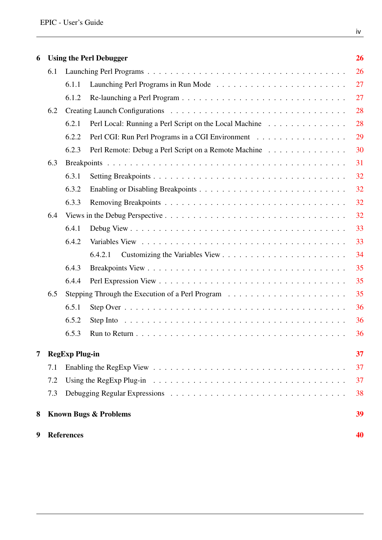| 6 |     |                       | <b>Using the Perl Debugger</b>                                                                              | 26 |
|---|-----|-----------------------|-------------------------------------------------------------------------------------------------------------|----|
|   | 6.1 |                       |                                                                                                             | 26 |
|   |     | 6.1.1                 |                                                                                                             | 27 |
|   |     | 6.1.2                 |                                                                                                             | 27 |
|   | 6.2 |                       |                                                                                                             | 28 |
|   |     | 6.2.1                 | Perl Local: Running a Perl Script on the Local Machine                                                      | 28 |
|   |     | 6.2.2                 | Perl CGI: Run Perl Programs in a CGI Environment                                                            | 29 |
|   |     | 6.2.3                 | Perl Remote: Debug a Perl Script on a Remote Machine                                                        | 30 |
|   | 6.3 |                       |                                                                                                             | 31 |
|   |     | 6.3.1                 |                                                                                                             | 32 |
|   |     | 6.3.2                 |                                                                                                             | 32 |
|   |     | 6.3.3                 |                                                                                                             | 32 |
|   | 6.4 |                       |                                                                                                             | 32 |
|   |     | 6.4.1                 |                                                                                                             | 33 |
|   |     | 6.4.2                 |                                                                                                             | 33 |
|   |     |                       | 6.4.2.1                                                                                                     | 34 |
|   |     | 6.4.3                 |                                                                                                             | 35 |
|   |     | 6.4.4                 |                                                                                                             | 35 |
|   | 6.5 |                       |                                                                                                             | 35 |
|   |     | 6.5.1                 |                                                                                                             | 36 |
|   |     | 6.5.2                 | Step Into $\dots \dots \dots \dots \dots \dots \dots \dots \dots \dots \dots \dots \dots \dots \dots \dots$ | 36 |
|   |     | 6.5.3                 |                                                                                                             | 36 |
| 7 |     | <b>RegExp Plug-in</b> |                                                                                                             | 37 |
|   | 7.1 |                       |                                                                                                             | 37 |
|   | 7.2 |                       |                                                                                                             | 37 |
|   | 7.3 |                       |                                                                                                             | 38 |
| 8 |     |                       | <b>Known Bugs &amp; Problems</b>                                                                            | 39 |
| 9 |     | <b>References</b>     |                                                                                                             | 40 |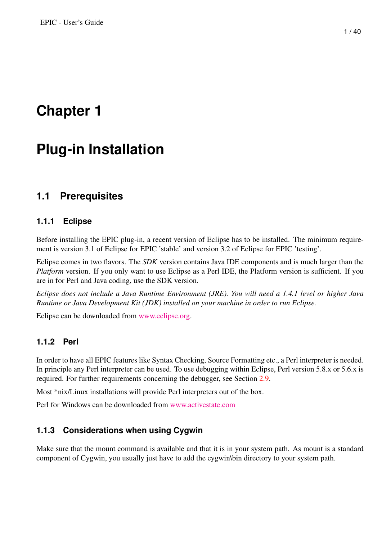# <span id="page-4-0"></span>**Plug-in Installation**

## <span id="page-4-1"></span>**1.1 Prerequisites**

### <span id="page-4-2"></span>**1.1.1 Eclipse**

Before installing the EPIC plug-in, a recent version of Eclipse has to be installed. The minimum requirement is version 3.1 of Eclipse for EPIC 'stable' and version 3.2 of Eclipse for EPIC 'testing'.

Eclipse comes in two flavors. The *SDK* version contains Java IDE components and is much larger than the *Platform* version. If you only want to use Eclipse as a Perl IDE, the Platform version is sufficient. If you are in for Perl and Java coding, use the SDK version.

*Eclipse does not include a Java Runtime Environment (JRE). You will need a 1.4.1 level or higher Java Runtime or Java Development Kit (JDK) installed on your machine in order to run Eclipse.*

Eclipse can be downloaded from [www.eclipse.org.](http://www.eclipse.org)

### <span id="page-4-3"></span>**1.1.2 Perl**

In order to have all EPIC features like Syntax Checking, Source Formatting etc., a Perl interpreter is needed. In principle any Perl interpreter can be used. To use debugging within Eclipse, Perl version 5.8.x or 5.6.x is required. For further requirements concerning the debugger, see Section [2.9.](#page-11-0)

Most \*nix/Linux installations will provide Perl interpreters out of the box.

Perl for Windows can be downloaded from [www.activestate.com](http://www.activestate.com)

### <span id="page-4-4"></span>**1.1.3 Considerations when using Cygwin**

Make sure that the mount command is available and that it is in your system path. As mount is a standard component of Cygwin, you usually just have to add the cygwin\bin directory to your system path.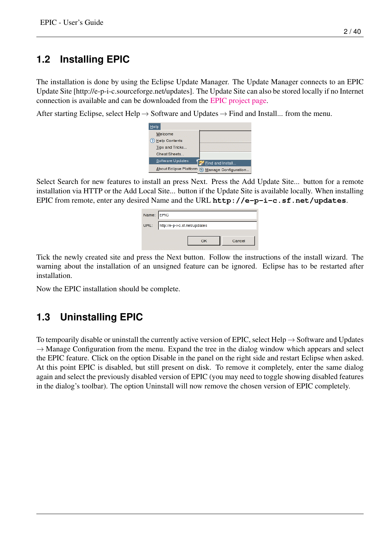# <span id="page-5-0"></span>**1.2 Installing EPIC**

The installation is done by using the Eclipse Update Manager. The Update Manager connects to an EPIC Update Site [http://e-p-i-c.sourceforge.net/updates]. The Update Site can also be stored locally if no Internet connection is available and can be downloaded from the [EPIC project page.](http://e-p-i-c.sourceforge.net)

After starting Eclipse, select Help  $\rightarrow$  Software and Updates  $\rightarrow$  Find and Install... from the menu.

| Help                          |                      |
|-------------------------------|----------------------|
| Welcome                       |                      |
| ? Help Contents               |                      |
| Tips and Tricks               |                      |
| Cheat Sheets                  |                      |
| Software Updates              | Find and Install     |
| <b>About Eclipse Platform</b> | Manage Configuration |

Select Search for new features to install an press Next. Press the Add Update Site... button for a remote installation via HTTP or the Add Local Site... button if the Update Site is available locally. When installing EPIC from remote, enter any desired Name and the URL **http://e-p-i-c.sf.net/updates**.

| Name: EPIC                         |        |
|------------------------------------|--------|
| URL: http://e-p-i-c.sf.net/updates |        |
| OK                                 | Cancel |
|                                    |        |

Tick the newly created site and press the Next button. Follow the instructions of the install wizard. The warning about the installation of an unsigned feature can be ignored. Eclipse has to be restarted after installation.

Now the EPIC installation should be complete.

# <span id="page-5-1"></span>**1.3 Uninstalling EPIC**

To tempoarily disable or uninstall the currently active version of EPIC, select Help  $\rightarrow$  Software and Updates  $\rightarrow$  Manage Configuration from the menu. Expand the tree in the dialog window which appears and select the EPIC feature. Click on the option Disable in the panel on the right side and restart Eclipse when asked. At this point EPIC is disabled, but still present on disk. To remove it completely, enter the same dialog again and select the previously disabled version of EPIC (you may need to toggle showing disabled features in the dialog's toolbar). The option Uninstall will now remove the chosen version of EPIC completely.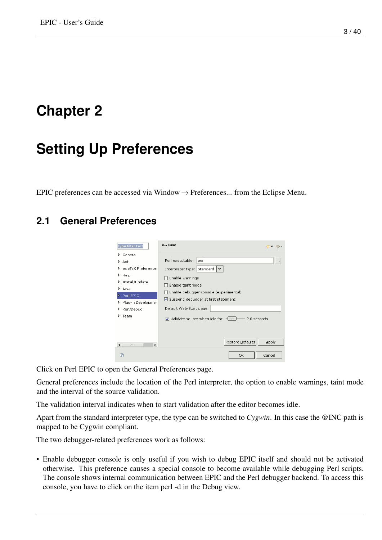# <span id="page-6-0"></span>**Setting Up Preferences**

EPIC preferences can be accessed via Window  $\rightarrow$  Preferences... from the Eclipse Menu.

## <span id="page-6-2"></span><span id="page-6-1"></span>**2.1 General Preferences**



Click on Perl EPIC to open the General Preferences page.

General preferences include the location of the Perl interpreter, the option to enable warnings, taint mode and the interval of the source validation.

The validation interval indicates when to start validation after the editor becomes idle.

Apart from the standard interpreter type, the type can be switched to *Cygwin*. In this case the @INC path is mapped to be Cygwin compliant.

The two debugger-related preferences work as follows:

• Enable debugger console is only useful if you wish to debug EPIC itself and should not be activated otherwise. This preference causes a special console to become available while debugging Perl scripts. The console shows internal communication between EPIC and the Perl debugger backend. To access this console, you have to click on the item perl -d in the Debug view.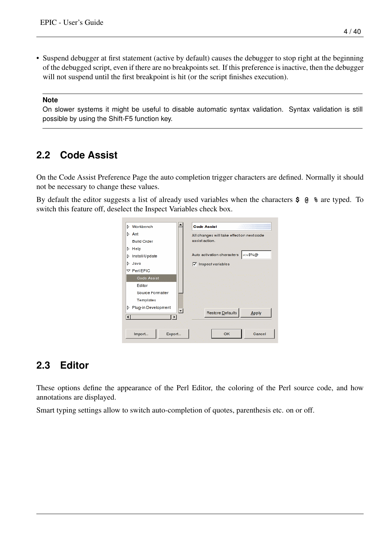• Suspend debugger at first statement (active by default) causes the debugger to stop right at the beginning of the debugged script, even if there are no breakpoints set. If this preference is inactive, then the debugger will not suspend until the first breakpoint is hit (or the script finishes execution).

#### **Note**

On slower systems it might be useful to disable automatic syntax validation. Syntax validation is still possible by using the Shift-F5 function key.

## <span id="page-7-0"></span>**2.2 Code Assist**

On the Code Assist Preference Page the auto completion trigger characters are defined. Normally it should not be necessary to change these values.

By default the editor suggests a list of already used variables when the characters **\$ @ %** are typed. To switch this feature off, deselect the Inspect Variables check box.



## <span id="page-7-1"></span>**2.3 Editor**

These options define the appearance of the Perl Editor, the coloring of the Perl source code, and how annotations are displayed.

Smart typing settings allow to switch auto-completion of quotes, parenthesis etc. on or off.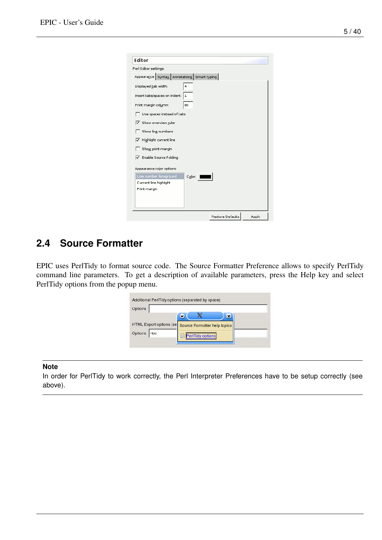| <b>Editor</b>                              |           |                         |       |
|--------------------------------------------|-----------|-------------------------|-------|
| Perl Editor settings:                      |           |                         |       |
| Appearance Syntax Annotations Smart typing |           |                         |       |
| Displayed tab width:                       | 4         |                         |       |
| Insert tabs/spaces on indent: 1            |           |                         |       |
| Print margin column:                       | 80        |                         |       |
| Use spaces instead of tabs                 |           |                         |       |
| <b>√</b> Show overview ruler               |           |                         |       |
| Show line numbers                          |           |                         |       |
| F Highlight current line                   |           |                         |       |
| Show print margin                          |           |                         |       |
| <b>V</b> Enable Source Folding             |           |                         |       |
| Appearance color options:                  |           |                         |       |
| Line number foreground                     | $C_0 or:$ |                         |       |
| Current line highlight                     |           |                         |       |
| Print margin                               |           |                         |       |
|                                            |           |                         |       |
|                                            |           | <b>Restore Defaults</b> | Apply |

## <span id="page-8-0"></span>**2.4 Source Formatter**

EPIC uses PerlTidy to format source code. The Source Formatter Preference allows to specify PerlTidy command line parameters. To get a description of available parameters, press the Help key and select PerlTidy options from the popup menu.

| Additional PerlTidy options (separated by space)<br>Options |                              |  |
|-------------------------------------------------------------|------------------------------|--|
| HTML Export options (se                                     | Source Formatter help topics |  |
| Options - toc                                               | PerlTidy options<br>B        |  |

#### **Note**

In order for PerlTidy to work correctly, the Perl Interpreter Preferences have to be setup correctly (see above).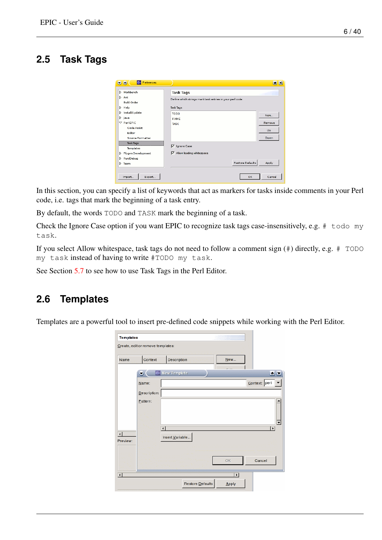## <span id="page-9-0"></span>**2.5 Task Tags**

| > Workbench                   | <b>Task Tags</b>                                          |        |
|-------------------------------|-----------------------------------------------------------|--------|
| > Ant<br><b>Build Order</b>   | Define which strings mark task entries in your perl code: |        |
| $\triangleright$ Help         | <b>Task Tags:</b>                                         |        |
| Install/Update<br>$>$ Java    | TODO<br><b>FIXME</b>                                      | New    |
| $\nabla$ Peri EPIC            | <b>TASK</b>                                               | Remove |
| Code Assist<br>Editor         |                                                           | Up     |
| Source Formatter              |                                                           | Down   |
| <b>Task Tags</b><br>Templates | ⊽<br>Ignore Case                                          |        |
| Plug-in Development           | $\overline{\checkmark}$ Allow leading whitespace          |        |
| Run/Debug                     |                                                           |        |
| Team                          | Restore Defaults                                          | Apply  |

In this section, you can specify a list of keywords that act as markers for tasks inside comments in your Perl code, i.e. tags that mark the beginning of a task entry.

By default, the words TODO and TASK mark the beginning of a task.

Check the Ignore Case option if you want EPIC to recognize task tags case-insensitively, e.g. # todo my task.

If you select Allow whitespace, task tags do not need to follow a comment sign (#) directly, e.g. # TODO my task instead of having to write #TODO my task.

See Section [5.7](#page-24-0) to see how to use Task Tags in the Perl Editor.

### <span id="page-9-1"></span>**2.6 Templates**

Templates are a powerful tool to insert pre-defined code snippets while working with the Perl Editor.

| Name                    | Context      |                           | Description     |  | New       |               |                                    |                          |
|-------------------------|--------------|---------------------------|-----------------|--|-----------|---------------|------------------------------------|--------------------------|
|                         | ۰            |                           | New Template    |  | $ \cdots$ |               | $\triangleq \overline{\mathbf{X}}$ |                          |
|                         | Name:        |                           |                 |  |           | Context: perl |                                    | ▼                        |
|                         | Description: |                           |                 |  |           |               |                                    |                          |
|                         | Pattern:     |                           |                 |  |           |               |                                    |                          |
|                         |              |                           |                 |  |           |               |                                    |                          |
|                         |              |                           |                 |  |           |               |                                    |                          |
|                         |              |                           |                 |  |           |               |                                    |                          |
|                         |              | $\overline{\blacksquare}$ |                 |  |           |               | $\overline{\phantom{a}}$           |                          |
| $\overline{\mathbf{1}}$ |              |                           | Insert Variable |  |           |               |                                    |                          |
|                         |              |                           |                 |  |           |               |                                    |                          |
| Preview:                |              |                           |                 |  |           |               |                                    | $\overline{\phantom{a}}$ |
|                         |              |                           |                 |  | OK        | Cancel        |                                    |                          |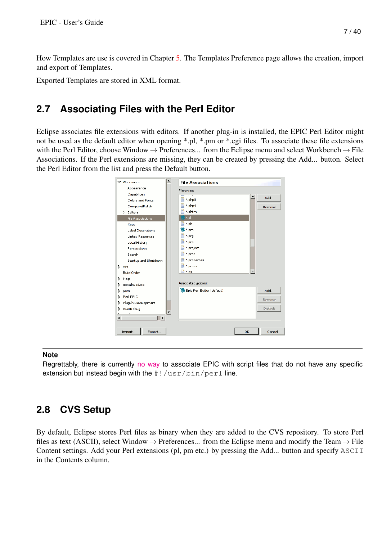How Templates are use is covered in Chapter [5.](#page-20-0) The Templates Preference page allows the creation, import and export of Templates.

Exported Templates are stored in XML format.

## <span id="page-10-0"></span>**2.7 Associating Files with the Perl Editor**

Eclipse associates file extensions with editors. If another plug-in is installed, the EPIC Perl Editor might not be used as the default editor when opening \*.pl, \*.pm or \*.cgi files. To associate these file extensions with the Perl Editor, choose Window  $\rightarrow$  Preferences... from the Eclipse menu and select Workbench  $\rightarrow$  File Associations. If the Perl extensions are missing, they can be created by pressing the Add... button. Select the Perl Editor from the list and press the Default button.



#### **Note**

Regrettably, there is currently [no way](http://www.antlr.org) to associate EPIC with script files that do not have any specific extension but instead begin with the  $\#!/$ usr $/$ bin $/$ perl line.

## <span id="page-10-1"></span>**2.8 CVS Setup**

By default, Eclipse stores Perl files as binary when they are added to the CVS repository. To store Perl files as text (ASCII), select Window  $\rightarrow$  Preferences... from the Eclipse menu and modify the Team  $\rightarrow$  File Content settings. Add your Perl extensions (pl, pm etc.) by pressing the Add... button and specify ASCII in the Contents column.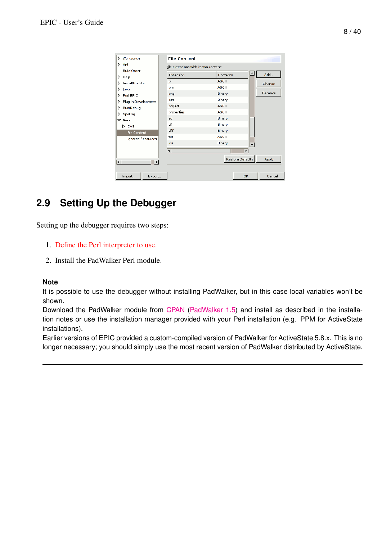| > Workbench                | <b>File Content</b>                 |                         |                       |        |
|----------------------------|-------------------------------------|-------------------------|-----------------------|--------|
| $\triangleright$ Ant       | File extensions with known content: |                         |                       |        |
| <b>Build Order</b>         | Extension                           | Contents                |                       | Add    |
| $\triangleright$ Help      | pl                                  | <b>ASCII</b>            |                       |        |
| Install/Update<br>D.       | pm                                  | <b>ASCII</b>            |                       | Change |
| D.<br>Java                 |                                     |                         |                       | Remove |
| Perl EPIC<br>Þ             | png                                 | Binary                  |                       |        |
| Plug-in Development<br>D.  | ppt                                 | Binary                  |                       |        |
| Run/Debug<br>D.            | project                             | <b>ASCII</b>            |                       |        |
| Spelling<br>D              | properties                          | <b>ASCII</b>            |                       |        |
| $\nabla$ Team              | so                                  | Binary                  |                       |        |
| D CVS                      | tif                                 | Binary                  |                       |        |
| File Content               | tiff                                | Binary                  |                       |        |
| <b>Ignored Resources</b>   | txt                                 | <b>ASCII</b>            |                       |        |
|                            | x s                                 | Binary                  | ۰                     |        |
|                            | $\overline{\mathbf{H}}$             |                         | $\blacktriangleright$ |        |
| ⊣<br>$\blacktriangleright$ |                                     | <b>Restore Defaults</b> |                       | Apply  |
| Export<br>Import           |                                     |                         | <b>OK</b>             | Cancel |

## <span id="page-11-0"></span>**2.9 Setting Up the Debugger**

<span id="page-11-1"></span>Setting up the debugger requires two steps:

- 1. [Define the Perl interpreter to use.](#page-6-2)
- 2. Install the PadWalker Perl module.

#### **Note**

It is possible to use the debugger without installing PadWalker, but in this case local variables won't be shown.

Download the PadWalker module from [CPAN](http://www.cpan.org/) [\(PadWalker 1.5\)](http://search.cpan.org/%7Erobin/PadWalker-0.10/) and install as described in the installation notes or use the installation manager provided with your Perl installation (e.g. PPM for ActiveState installations).

Earlier versions of EPIC provided a custom-compiled version of PadWalker for ActiveState 5.8.x. This is no longer necessary; you should simply use the most recent version of PadWalker distributed by ActiveState.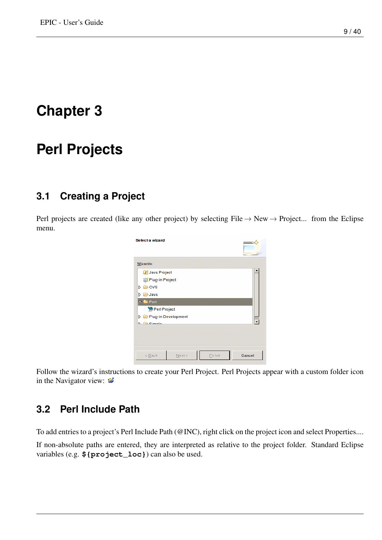# <span id="page-12-0"></span>**Perl Projects**

## <span id="page-12-1"></span>**3.1 Creating a Project**

Perl projects are created (like any other project) by selecting File  $\rightarrow$  New  $\rightarrow$  Project... from the Eclipse menu.

| Select a wizard                                 |        |
|-------------------------------------------------|--------|
| Wizards:                                        |        |
| <b>J</b> Java Project                           |        |
| Plug-in Project                                 |        |
| <b>CVS</b><br>D                                 |        |
| <b>B</b> Java<br>Þ                              |        |
| $\blacktriangledown$ $\blacktriangleright$ Perl |        |
| Perl Project                                    |        |
| Plug-in Development                             |        |
| $\Xi$ Cimple                                    |        |
|                                                 |        |
| Next<br>$<$ Back<br>Finish                      | Cancel |

Follow the wizard's instructions to create your Perl Project. Perl Projects appear with a custom folder icon in the Navigator view:  $\mathbb{E}$ 

## <span id="page-12-2"></span>**3.2 Perl Include Path**

To add entries to a project's Perl Include Path (@INC), right click on the project icon and select Properties.... If non-absolute paths are entered, they are interpreted as relative to the project folder. Standard Eclipse

variables (e.g. **\${project\_loc}**) can also be used.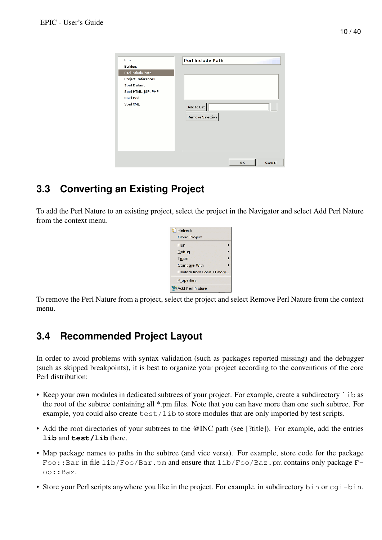| Info<br><b>Builders</b>                                                                                            | <b>Perl Include Path</b>                    |
|--------------------------------------------------------------------------------------------------------------------|---------------------------------------------|
| Perl Include Path<br><b>Project References</b><br>Spell Default<br>Spell HTML, JSP, PHP<br>Spell Perl<br>Spell XML | Add to List<br>$\cdots$<br>Remove Selection |
|                                                                                                                    | Cancel<br>ok                                |

# <span id="page-13-0"></span>**3.3 Converting an Existing Project**

To add the Perl Nature to an existing project, select the project in the Navigator and select Add Perl Nature from the context menu.



To remove the Perl Nature from a project, select the project and select Remove Perl Nature from the context menu.

## <span id="page-13-1"></span>**3.4 Recommended Project Layout**

In order to avoid problems with syntax validation (such as packages reported missing) and the debugger (such as skipped breakpoints), it is best to organize your project according to the conventions of the core Perl distribution:

- Keep your own modules in dedicated subtrees of your project. For example, create a subdirectory lib as the root of the subtree containing all \*.pm files. Note that you can have more than one such subtree. For example, you could also create test/lib to store modules that are only imported by test scripts.
- Add the root directories of your subtrees to the @INC path (see [?title]). For example, add the entries **lib** and **test/lib** there.
- Map package names to paths in the subtree (and vice versa). For example, store code for the package Foo::Bar in file lib/Foo/Bar.pm and ensure that lib/Foo/Baz.pm contains only package Foo::Baz.
- Store your Perl scripts anywhere you like in the project. For example, in subdirectory bin or  $cq\rightarrow$  bin.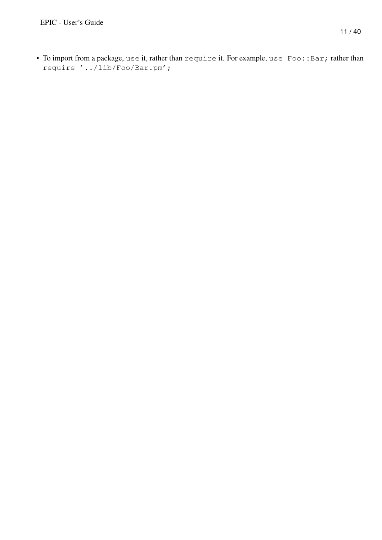• To import from a package, use it, rather than require it. For example, use Foo:: Bar; rather than require '../lib/Foo/Bar.pm';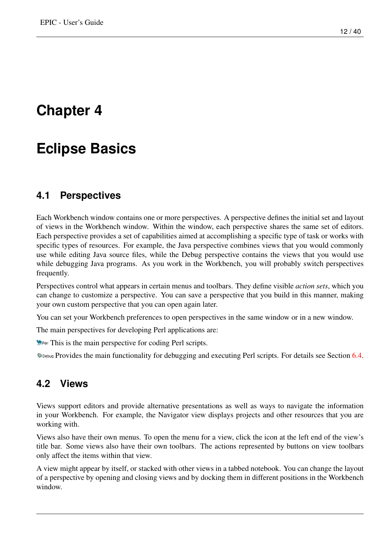# <span id="page-15-0"></span>**Eclipse Basics**

### <span id="page-15-1"></span>**4.1 Perspectives**

Each Workbench window contains one or more perspectives. A perspective defines the initial set and layout of views in the Workbench window. Within the window, each perspective shares the same set of editors. Each perspective provides a set of capabilities aimed at accomplishing a specific type of task or works with specific types of resources. For example, the Java perspective combines views that you would commonly use while editing Java source files, while the Debug perspective contains the views that you would use while debugging Java programs. As you work in the Workbench, you will probably switch perspectives frequently.

Perspectives control what appears in certain menus and toolbars. They define visible *action sets*, which you can change to customize a perspective. You can save a perspective that you build in this manner, making your own custom perspective that you can open again later.

You can set your Workbench preferences to open perspectives in the same window or in a new window.

The main perspectives for developing Perl applications are:

**The This is the main perspective for coding Perl scripts.** 

**\*** Debug Provides the main functionality for debugging and executing Perl scripts. For details see Section [6.4.](#page-35-3)

## <span id="page-15-2"></span>**4.2 Views**

Views support editors and provide alternative presentations as well as ways to navigate the information in your Workbench. For example, the Navigator view displays projects and other resources that you are working with.

Views also have their own menus. To open the menu for a view, click the icon at the left end of the view's title bar. Some views also have their own toolbars. The actions represented by buttons on view toolbars only affect the items within that view.

A view might appear by itself, or stacked with other views in a tabbed notebook. You can change the layout of a perspective by opening and closing views and by docking them in different positions in the Workbench window.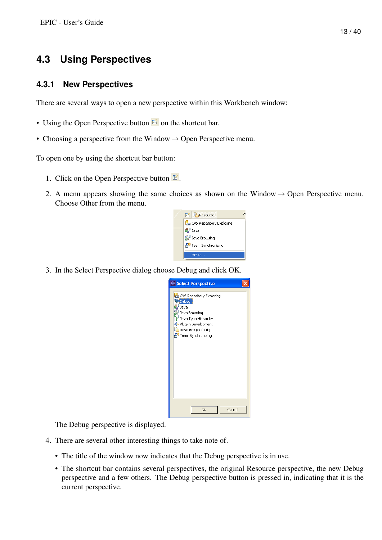## <span id="page-16-0"></span>**4.3 Using Perspectives**

### <span id="page-16-1"></span>**4.3.1 New Perspectives**

There are several ways to open a new perspective within this Workbench window:

- Using the Open Perspective button  $\mathbb{E}$  on the shortcut bar.
- Choosing a perspective from the Window  $\rightarrow$  Open Perspective menu.

To open one by using the shortcut bar button:

- 1. Click on the Open Perspective button  $\mathbb{E}$ .
- 2. A menu appears showing the same choices as shown on the Window  $\rightarrow$  Open Perspective menu. Choose Other from the menu.



3. In the Select Perspective dialog choose Debug and click OK.



The Debug perspective is displayed.

- 4. There are several other interesting things to take note of.
	- The title of the window now indicates that the Debug perspective is in use.
	- The shortcut bar contains several perspectives, the original Resource perspective, the new Debug perspective and a few others. The Debug perspective button is pressed in, indicating that it is the current perspective.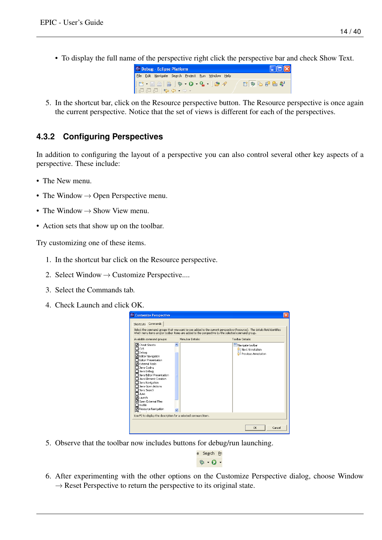• To display the full name of the perspective right click the perspective bar and check Show Text.



5. In the shortcut bar, click on the Resource perspective button. The Resource perspective is once again the current perspective. Notice that the set of views is different for each of the perspectives.

### <span id="page-17-0"></span>**4.3.2 Configuring Perspectives**

In addition to configuring the layout of a perspective you can also control several other key aspects of a perspective. These include:

- The New menu.
- The Window  $\rightarrow$  Open Perspective menu.
- The Window  $\rightarrow$  Show View menu.
- Action sets that show up on the toolbar.

Try customizing one of these items.

- 1. In the shortcut bar click on the Resource perspective.
- 2. Select Window  $\rightarrow$  Customize Perspective....
- 3. Select the Commands tab.
- 4. Check Launch and click OK.

| <b>E</b> Customize Perspective<br>Shortcuts Commands<br>Available command groups:<br><b>ज</b> Cheat Sheets<br>⊣cvs                                                                                                                                                                                                                               | Menubar Details: | Select the command groups that you want to see added to the current perspective (Resource). The details field identifies<br>which menu items and/or toolbar items are added to the perspective by the selected command group.<br><b>Toolbar Details:</b><br>Navigate toolbar<br>Next Annotation<br>₩ |
|--------------------------------------------------------------------------------------------------------------------------------------------------------------------------------------------------------------------------------------------------------------------------------------------------------------------------------------------------|------------------|------------------------------------------------------------------------------------------------------------------------------------------------------------------------------------------------------------------------------------------------------------------------------------------------------|
| $\Box$ Debua<br>□ Editor Navigation<br><b>Editor Presentation</b><br><b>ज</b> External Tools<br>□ Java Coding<br>Java Debug<br>Java Editor Presentation<br>$\sqcap$ Java Element Creation<br>Java Navigation<br>Java Open Actions<br>Java Search<br><b>TJUnit</b><br>lounchi<br>☑ Open External Files<br><b>T</b> Profile<br>Resource Navigation |                  | Previous Annotation                                                                                                                                                                                                                                                                                  |
| Use F2 to display the description for a selected command item.                                                                                                                                                                                                                                                                                   |                  |                                                                                                                                                                                                                                                                                                      |
|                                                                                                                                                                                                                                                                                                                                                  |                  | Cancel<br>OK                                                                                                                                                                                                                                                                                         |

5. Observe that the toolbar now includes buttons for debug/run launching.

te Se<u>a</u>rch <u>P</u>ro **な ◎ -**

6. After experimenting with the other options on the Customize Perspective dialog, choose Window  $\rightarrow$  Reset Perspective to return the perspective to its original state.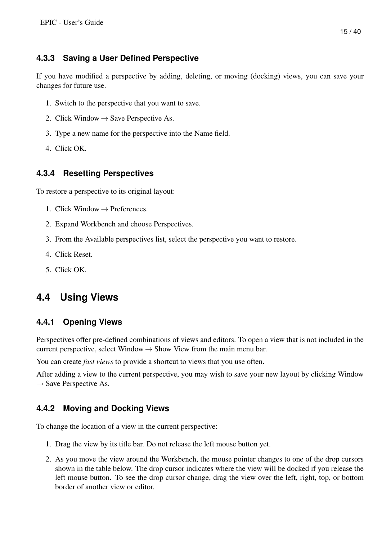### <span id="page-18-0"></span>**4.3.3 Saving a User Defined Perspective**

If you have modified a perspective by adding, deleting, or moving (docking) views, you can save your changes for future use.

- 1. Switch to the perspective that you want to save.
- 2. Click Window  $\rightarrow$  Save Perspective As.
- 3. Type a new name for the perspective into the Name field.
- 4. Click OK.

### <span id="page-18-1"></span>**4.3.4 Resetting Perspectives**

To restore a perspective to its original layout:

- 1. Click Window  $\rightarrow$  Preferences.
- 2. Expand Workbench and choose Perspectives.
- 3. From the Available perspectives list, select the perspective you want to restore.
- 4. Click Reset.
- 5. Click OK.

## <span id="page-18-2"></span>**4.4 Using Views**

### <span id="page-18-3"></span>**4.4.1 Opening Views**

Perspectives offer pre-defined combinations of views and editors. To open a view that is not included in the current perspective, select Window  $\rightarrow$  Show View from the main menu bar.

You can create *fast views* to provide a shortcut to views that you use often.

After adding a view to the current perspective, you may wish to save your new layout by clicking Window  $\rightarrow$  Save Perspective As.

### <span id="page-18-4"></span>**4.4.2 Moving and Docking Views**

To change the location of a view in the current perspective:

- 1. Drag the view by its title bar. Do not release the left mouse button yet.
- 2. As you move the view around the Workbench, the mouse pointer changes to one of the drop cursors shown in the table below. The drop cursor indicates where the view will be docked if you release the left mouse button. To see the drop cursor change, drag the view over the left, right, top, or bottom border of another view or editor.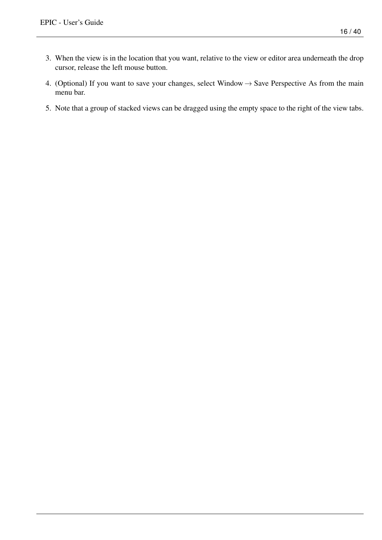- 3. When the view is in the location that you want, relative to the view or editor area underneath the drop cursor, release the left mouse button.
- 4. (Optional) If you want to save your changes, select Window  $\rightarrow$  Save Perspective As from the main menu bar.
- 5. Note that a group of stacked views can be dragged using the empty space to the right of the view tabs.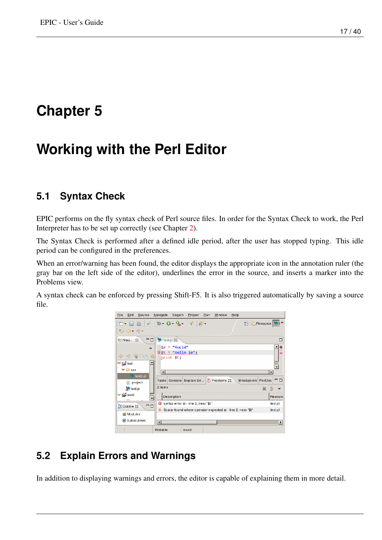# <span id="page-20-0"></span>**Working with the Perl Editor**

## <span id="page-20-1"></span>**5.1 Syntax Check**

EPIC performs on the fly syntax check of Perl source files. In order for the Syntax Check to work, the Perl Interpreter has to be set up correctly (see Chapter [2\)](#page-6-0).

The Syntax Check is performed after a defined idle period, after the user has stopped typing. This idle period can be configured in the preferences.

When an error/warning has been found, the editor displays the appropriate icon in the annotation ruler (the gray bar on the left side of the editor), underlines the error in the source, and inserts a marker into the Problems view.

A syntax check can be enforced by pressing Shift-F5. It is also triggered automatically by saving a source file.



# <span id="page-20-2"></span>**5.2 Explain Errors and Warnings**

In addition to displaying warnings and errors, the editor is capable of explaining them in more detail.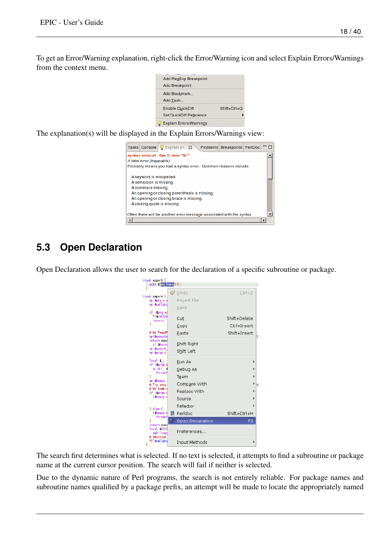To get an Error/Warning explanation, right-click the Error/Warning icon and select Explain Errors/Warnings from the context menu.



The explanation(s) will be displayed in the Explain Errors/Warnings view:



# <span id="page-21-0"></span>**5.3 Open Declaration**

Open Declaration allows the user to search for the declaration of a specific subroutine or package.

| ⊝sub export {                    |                     |                    |
|----------------------------------|---------------------|--------------------|
| goto & as heavy ()};<br>ÿ        |                     |                    |
|                                  | (⊯ Undo             | $Ctrl + Z$         |
| Sub import {<br>$my$ spkg = s    | Revert File         |                    |
| my scallpkd                      |                     |                    |
|                                  | Save                |                    |
| if (spkg ed<br>*{scallpk         |                     |                    |
| return;                          | Cut                 | Shift+Delete       |
| Y                                | Copy                | Ctrl+Insert        |
| # We *need*                      | Paste               | Shift+Insert<br> i |
| my Cexports<br>return expd       |                     |                    |
| if Werbd                         | Shift Right         |                    |
| my sexport.<br>my Sargs =        | Shift Left          |                    |
|                                  |                     |                    |
| $local$ \$ :<br>if (Sargs a      | Run As              | \$                 |
| s/18/7, 4<br>foreach             | Debug As            | ۱,                 |
| Y                                | Team                | $\bullet$          |
| my theavy;<br># Try very         | Compare With        | $\bullet$<br>lt    |
| # We bomb d                      | Replace With        | ,                  |
| if (Sargs o<br>$($ theavy $=$    |                     |                    |
|                                  | Source              | Þ                  |
| } else {                         | Refactor            | \$                 |
| $($ theavy $=$                   | Peridoc<br>Ø.       | Shift+Ctrl+H       |
| foreach<br>Y                     | 17 Open Declaration | F <sub>3</sub>     |
| return expd                      |                     |                    |
| local SSIGO<br>sub {regu         | Preferences         |                    |
| # shortcut<br>*{"\$callpkd<br>ş. | Input Methods       |                    |

The search first determines what is selected. If no text is selected, it attempts to find a subroutine or package name at the current cursor position. The search will fail if neither is selected.

Due to the dynamic nature of Perl programs, the search is not entirely reliable. For package names and subroutine names qualified by a package prefix, an attempt will be made to locate the appropriately named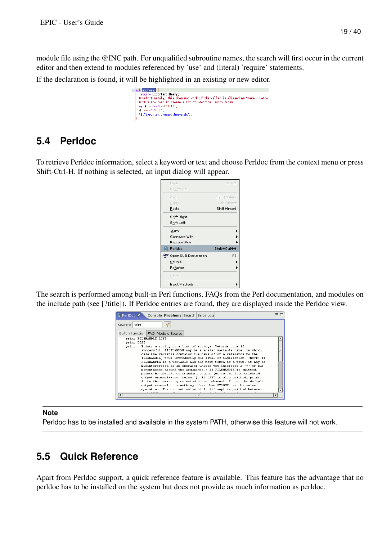module file using the @INC path. For unqualified subroutine names, the search will first occur in the current editor and then extend to modules referenced by 'use' and (literal) 'require' statements.

```
If the declaration is found, it will be highlighted in an existing or new editor.
                                                \ominus sub-as_heavy {
                                                   |$c|=~|$/.*\://;<br>|\&{"Exporter::Heavy::heavy_$c"};|
```
## <span id="page-22-0"></span>**5.4 Perldoc**

To retrieve Perldoc information, select a keyword or text and choose Perldoc from the context menu or press Shift-Ctrl-H. If nothing is selected, an input dialog will appear.

| Undo                 | Ctrl+Z              |
|----------------------|---------------------|
| Revert File          |                     |
| Cut                  | <b>Shift+Delete</b> |
| Copy                 | Ctrl+Insert         |
| Paste                | Shift+Insert        |
| Shift Right          |                     |
| Shift Left           |                     |
| Team                 |                     |
| Compare With         |                     |
| Replace With         |                     |
| Perldoc<br>图         | Shift+Ctrl+H        |
| Open SUB Declaration | F <sub>3</sub>      |
| Source               |                     |
| Refactor             |                     |
| Save                 |                     |
| Input Methods        |                     |

The search is performed among built-in Perl functions, FAQs from the Perl documentation, and modules on the include path (see [?title]). If Perldoc entries are found, they are displayed inside the Perldoc view.

| <sup>2</sup> PerlDoc X<br>Console Problems Search Error Log                                                                                                                                                                                                                                                                                                                                                                                                                                                                                                | $=$ $F$ |
|------------------------------------------------------------------------------------------------------------------------------------------------------------------------------------------------------------------------------------------------------------------------------------------------------------------------------------------------------------------------------------------------------------------------------------------------------------------------------------------------------------------------------------------------------------|---------|
| Search: print                                                                                                                                                                                                                                                                                                                                                                                                                                                                                                                                              |         |
| Builtin Function FAQ Module Source                                                                                                                                                                                                                                                                                                                                                                                                                                                                                                                         |         |
| print FILEHANDLE LIST                                                                                                                                                                                                                                                                                                                                                                                                                                                                                                                                      |         |
| print LIST<br>Prints a string or a list of strings. Returns true if<br>print<br>successful. FILEHANDLE may be a scalar variable name, in which<br>case the variable contains the name of or a reference to the<br>filehandle, thus introducing one level of indirection. (NOTE: If<br>FILEHANDLE is a variable and the next token is a term, it may be<br>misinterpreted as an operator unless you interpose a "+" or put<br>parentheses around the arouments.) If FILEHANDLE is omitted,<br>prints by default to standard output (or to the last selected |         |
| output channel--see "select"). If LIST is also omitted, prints<br>\$ to the currently selected output channel. To set the default<br>output channel to something other than STDOUT use the select<br>operation. The current value of $\frac{2}{7}$ , (if any) is printed between                                                                                                                                                                                                                                                                           |         |
|                                                                                                                                                                                                                                                                                                                                                                                                                                                                                                                                                            |         |

**Note**

Perldoc has to be installed and available in the system PATH, otherwise this feature will not work.

## <span id="page-22-1"></span>**5.5 Quick Reference**

Apart from Perldoc support, a quick reference feature is available. This feature has the advantage that no perldoc has to be installed on the system but does not provide as much information as perldoc.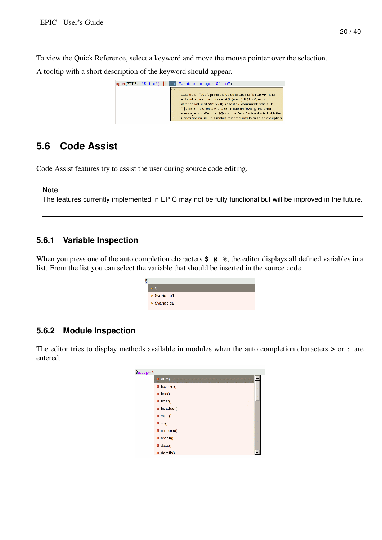To view the Quick Reference, select a keyword and move the mouse pointer over the selection.

A tooltip with a short description of the keyword should appear.



## <span id="page-23-0"></span>**5.6 Code Assist**

Code Assist features try to assist the user during source code editing.

#### **Note**

The features currently implemented in EPIC may not be fully functional but will be improved in the future.

#### <span id="page-23-1"></span>**5.6.1 Variable Inspection**

When you press one of the auto completion characters  $\frac{2}{9}$  (e)  $\frac{2}{3}$ , the editor displays all defined variables in a list. From the list you can select the variable that should be inserted in the source code.

| \$ |                        |
|----|------------------------|
|    | W.                     |
|    | $\diamond$ \$variable1 |
|    | $\Diamond$ \$variable2 |
|    |                        |

### <span id="page-23-2"></span>**5.6.2 Module Inspection**

The editor tries to display methods available in modules when the auto completion characters **>** or **:** are entered.

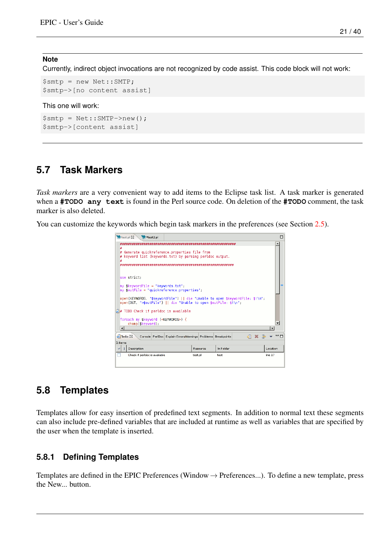#### **Note**

Currently, indirect object invocations are not recognized by code assist. This code block will not work:

```
$smtp = new Net::SMTP;
$smtp->[no content assist]
```
#### This one will work:

```
$smtp = Net::SMTP->new();
$smtp->[content assist]
```
### <span id="page-24-0"></span>**5.7 Task Markers**

*Task markers* are a very convenient way to add items to the Eclipse task list. A task marker is generated when a **#TODO any text** is found in the Perl source code. On deletion of the **#TODO** comment, the task marker is also deleted.

You can customize the keywords which begin task markers in the preferences (see Section [2.5\)](#page-9-0).

| test.pl X<br><sup>3</sup> <sub>10</sub> <sup>x</sup> test <sub>2.pl</sub>                                                                          | ╒ |  |  |  |  |  |
|----------------------------------------------------------------------------------------------------------------------------------------------------|---|--|--|--|--|--|
|                                                                                                                                                    |   |  |  |  |  |  |
| Generate quickreference.properties file from<br>keyword list (keywords.txt) by parsing perldoc output.                                             |   |  |  |  |  |  |
| use strict:<br>my skeywordFile = "keywords.txt";                                                                                                   |   |  |  |  |  |  |
| $my$ soutFile = "quickreference.properties";                                                                                                       |   |  |  |  |  |  |
| open(KEYWORDS, "\$keywordFile")    die "Unable to open \$keywordFile: \$!\n";<br>open(OUT, ">\$outFile")    die "Unable to open \$outFile: \$!\n"; |   |  |  |  |  |  |
| $\sqrt{4}$ TODO Check if perldoc is available                                                                                                      |   |  |  |  |  |  |
| foreach my skeyword ( <keywords>) {<br/>chomp(\$keyword);</keywords>                                                                               |   |  |  |  |  |  |
| $\blacktriangleleft$<br>٠                                                                                                                          |   |  |  |  |  |  |
| - F<br>$\sqrt{2}$ Tasks $23$<br>Console PerlDoc Explain Errors/Warnings Problems Breakpoints                                                       |   |  |  |  |  |  |
| 1 items                                                                                                                                            |   |  |  |  |  |  |
| Description<br>Location<br>In Folder<br>Resource                                                                                                   |   |  |  |  |  |  |
| line 17<br>Check if perldoc is available<br>test.pl<br>test                                                                                        |   |  |  |  |  |  |
|                                                                                                                                                    |   |  |  |  |  |  |

### <span id="page-24-1"></span>**5.8 Templates**

Templates allow for easy insertion of predefined text segments. In addition to normal text these segments can also include pre-defined variables that are included at runtime as well as variables that are specified by the user when the template is inserted.

### <span id="page-24-2"></span>**5.8.1 Defining Templates**

Templates are defined in the EPIC Preferences (Window  $\rightarrow$  Preferences...). To define a new template, press the New... button.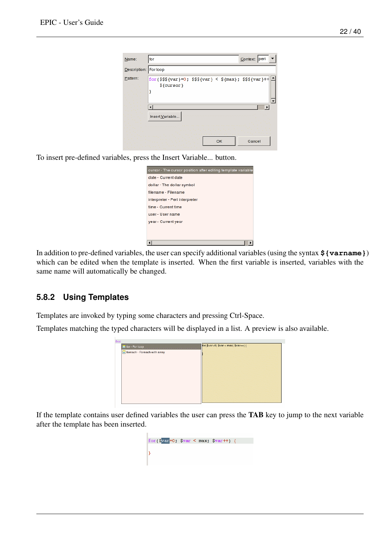| Name:                 | Context: perl<br>for                                                          |
|-----------------------|-------------------------------------------------------------------------------|
| Description: For loop |                                                                               |
| Pattern:              | $for ($$$\{var}]=0; $$$$ {var} < \${max}; \$\$\${var} + +<br>$${cursor}$<br>ł |
|                       | Insert Variable                                                               |
|                       | Cancel<br>OK                                                                  |

To insert pre-defined variables, press the Insert Variable... button.

| date - Current date            |  |
|--------------------------------|--|
| dollar - The dollar symbol     |  |
| filename - Filename            |  |
| interpreter - Perl interpreter |  |
| time - Current time            |  |
| user - User name               |  |
| year - Current year            |  |
|                                |  |
|                                |  |

In addition to pre-defined variables, the user can specify additional variables (using the syntax **\${varname}**) which can be edited when the template is inserted. When the first variable is inserted, variables with the same name will automatically be changed.

### <span id="page-25-0"></span>**5.8.2 Using Templates**

Templates are invoked by typing some characters and pressing Ctrl-Space.

Templates matching the typed characters will be displayed in a list. A preview is also available.

| for - For loop               | $\left  \text{for}(\text{$\$var=0$}; \text{$\$var < max$}; \text{$\$var++}) \right $ |
|------------------------------|--------------------------------------------------------------------------------------|
| foreach - Foreach with array |                                                                                      |
|                              |                                                                                      |
|                              |                                                                                      |
|                              |                                                                                      |
|                              |                                                                                      |
|                              |                                                                                      |
|                              |                                                                                      |
|                              |                                                                                      |
|                              |                                                                                      |
|                              | for                                                                                  |

If the template contains user defined variables the user can press the TAB key to jump to the next variable after the template has been inserted.

| for $(\sqrt{8} \text{var} = 0; \sqrt{8} \text{var} < \text{max}; \sqrt{8} \text{var} + 1)$ { |  |  |  |
|----------------------------------------------------------------------------------------------|--|--|--|
|                                                                                              |  |  |  |
|                                                                                              |  |  |  |
|                                                                                              |  |  |  |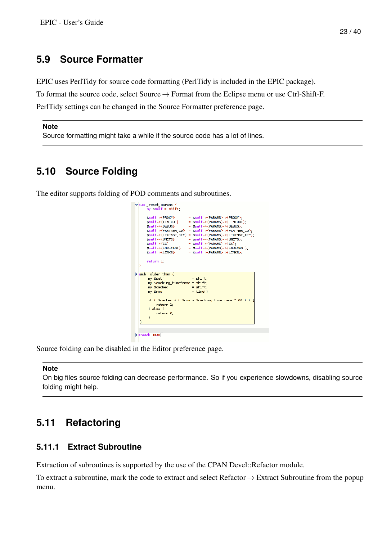## <span id="page-26-0"></span>**5.9 Source Formatter**

EPIC uses PerlTidy for source code formatting (PerlTidy is included in the EPIC package).

To format the source code, select Source→ Format from the Eclipse menu or use Ctrl-Shift-F.

PerlTidy settings can be changed in the Source Formatter preference page.

#### **Note**

Source formatting might take a while if the source code has a lot of lines.

## <span id="page-26-1"></span>**5.10 Source Folding**

The editor supports folding of POD comments and subroutines.

| $\triangledown$ sub reset params {<br>$mv$ sself = shift:                                                                                                                                                                                                                                                                                                                                                                                                                                                                  |
|----------------------------------------------------------------------------------------------------------------------------------------------------------------------------------------------------------------------------------------------------------------------------------------------------------------------------------------------------------------------------------------------------------------------------------------------------------------------------------------------------------------------------|
| $=$ \$self->{PARAMS}->{PROXY}:<br>\$self->{PROXY}<br>\$self->{TIMEOUT}<br>$=$ \$self->{PARAMS}->{TIMEOUT}:<br>\$self->{DEBUG}<br>$= $self->{PARAMS}->{DEBUG}:$<br>$\{PARTIMER ID\} = \{Sself - \{PARAMS\} - \{PARTIMER ID\} \}$<br>\$self->{LICENSE KEY} = \$self->{PARAMS}->{LICENSE KEY};<br>$=$ \$self->{PARAMS}->{UNITS}:<br>sself->{UNITS}<br>sself->{CC}<br>$=$ \$self->{PARAMS}->{CC}:<br>\$self->{FORECAST}<br>= \$self->{PARAMS}->{FORECAST};<br>$=$ \$self->{PARAMS}->{LINKS}<br>sself->{LINKS}<br>return 1<br>ŀ |
| sub older than {<br>my \$self<br>$=$ shift:<br>my \$caching_timeframe = shift;<br>$=$ shift:<br>my \$cached<br>$=$ time():<br>my \$now<br>if ( $\frac{1}{2}$ cached < ( $\frac{1}{2}$ now - $\frac{1}{2}$ caching time frame $*$ 60 ) )<br>return 1:<br>} else {<br>return 0:<br>ł                                                                                                                                                                                                                                         |
| Flead1 MAME.                                                                                                                                                                                                                                                                                                                                                                                                                                                                                                               |

Source folding can be disabled in the Editor preference page.

#### **Note**

On big files source folding can decrease performance. So if you experience slowdowns, disabling source folding might help.

## <span id="page-26-2"></span>**5.11 Refactoring**

#### <span id="page-26-3"></span>**5.11.1 Extract Subroutine**

Extraction of subroutines is supported by the use of the CPAN Devel::Refactor module.

To extract a subroutine, mark the code to extract and select Refactor→ Extract Subroutine from the popup menu.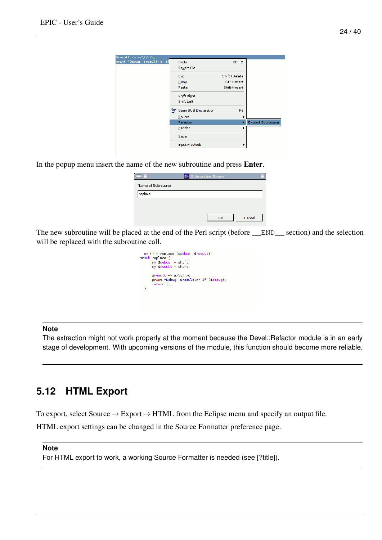

In the popup menu insert the name of the new subroutine and press Enter.

|                    | ← Subroutine Name |        |
|--------------------|-------------------|--------|
| Name of Subroutine |                   |        |
| replace            |                   |        |
|                    |                   |        |
|                    |                   |        |
|                    | ok                | Cancel |

The new subroutine will be placed at the end of the Perl script (before \_\_END\_\_ section) and the selection will be replaced with the subroutine call.

| $my() = replace (Sdebug Sresult).$<br>$\verb =sub replace {$<br>$my$ Sdebug = shift;<br>$my$ sresult = shift; |
|---------------------------------------------------------------------------------------------------------------|
| sresult =∼ s/\t/ /q:<br>print "Debug: \$result\n" if (\$debug);<br>return ():                                 |

#### **Note**

The extraction might not work properly at the moment because the Devel::Refactor module is in an early stage of development. With upcoming versions of the module, this function should become more reliable.

## <span id="page-27-0"></span>**5.12 HTML Export**

To export, select Source  $\rightarrow$  Export  $\rightarrow$  HTML from the Eclipse menu and specify an output file.

HTML export settings can be changed in the Source Formatter preference page.

#### **Note**

For HTML export to work, a working Source Formatter is needed (see [?title]).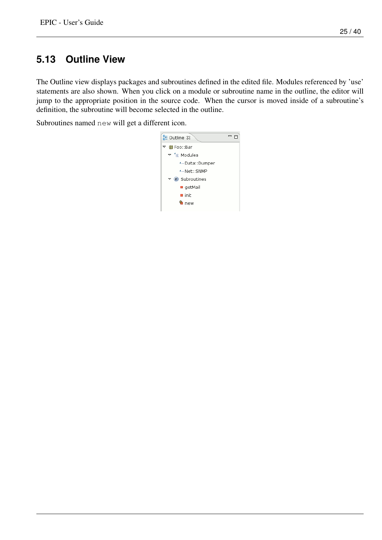# <span id="page-28-0"></span>**5.13 Outline View**

The Outline view displays packages and subroutines defined in the edited file. Modules referenced by 'use' statements are also shown. When you click on a module or subroutine name in the outline, the editor will jump to the appropriate position in the source code. When the cursor is moved inside of a subroutine's definition, the subroutine will become selected in the outline.

Subroutines named new will get a different icon.

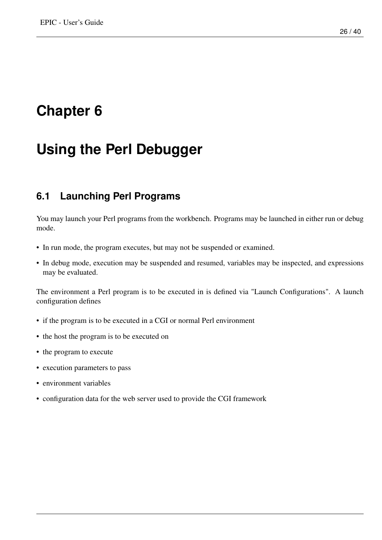# <span id="page-29-0"></span>**Using the Perl Debugger**

## <span id="page-29-1"></span>**6.1 Launching Perl Programs**

You may launch your Perl programs from the workbench. Programs may be launched in either run or debug mode.

- In run mode, the program executes, but may not be suspended or examined.
- In debug mode, execution may be suspended and resumed, variables may be inspected, and expressions may be evaluated.

The environment a Perl program is to be executed in is defined via "Launch Configurations". A launch configuration defines

- if the program is to be executed in a CGI or normal Perl environment
- the host the program is to be executed on
- the program to execute
- execution parameters to pass
- environment variables
- configuration data for the web server used to provide the CGI framework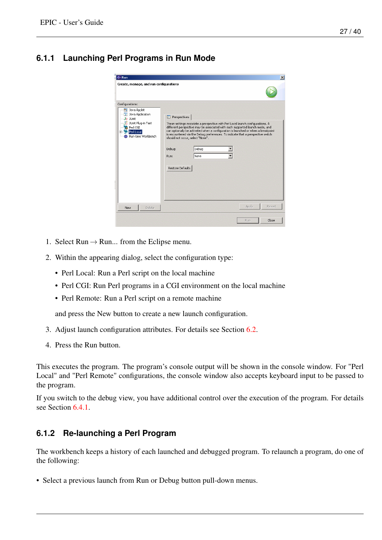## <span id="page-30-0"></span>**6.1.1 Launching Perl Programs in Run Mode**

| $\Leftarrow$ Run                                                                                                                                                                                 | $\vert x \vert$                                                                                                                                                                                                                                                                                                                                                                                                                                                                         |
|--------------------------------------------------------------------------------------------------------------------------------------------------------------------------------------------------|-----------------------------------------------------------------------------------------------------------------------------------------------------------------------------------------------------------------------------------------------------------------------------------------------------------------------------------------------------------------------------------------------------------------------------------------------------------------------------------------|
| Create, manage, and run configurations<br>Configurations:<br>7 Java Applet<br>Java Application<br>- Ju JUnit<br>Junit Plug-in Test<br><b>B</b> Perl CGI<br>Perl Local<br>审<br>Run-time Workbench | <b>E</b> Perspectives<br>These settings associate a perspective with Perl Local launch configurations. A<br>different perspective may be associated with each supported launch mode, and<br>can optionally be activated when a configuration is launched or when a breakpoint<br>is encountered via the Debug preferences. To indicate that a perspective switch<br>should not occur, select "None".<br>Debug<br>Debug:<br>$\overline{\phantom{0}}$<br>None<br>Run:<br>Restore Defaults |
| Delete<br>New                                                                                                                                                                                    | Revert<br>Apply                                                                                                                                                                                                                                                                                                                                                                                                                                                                         |
|                                                                                                                                                                                                  | Close<br>Run                                                                                                                                                                                                                                                                                                                                                                                                                                                                            |

- 1. Select Run  $\rightarrow$  Run... from the Eclipse menu.
- 2. Within the appearing dialog, select the configuration type:
	- Perl Local: Run a Perl script on the local machine
	- Perl CGI: Run Perl programs in a CGI environment on the local machine
	- Perl Remote: Run a Perl script on a remote machine

and press the New button to create a new launch configuration.

- 3. Adjust launch configuration attributes. For details see Section [6.2.](#page-31-0)
- 4. Press the Run button.

This executes the program. The program's console output will be shown in the console window. For "Perl Local" and "Perl Remote" configurations, the console window also accepts keyboard input to be passed to the program.

If you switch to the debug view, you have additional control over the execution of the program. For details see Section [6.4.1.](#page-36-0)

### <span id="page-30-1"></span>**6.1.2 Re-launching a Perl Program**

The workbench keeps a history of each launched and debugged program. To relaunch a program, do one of the following:

• Select a previous launch from Run or Debug button pull-down menus.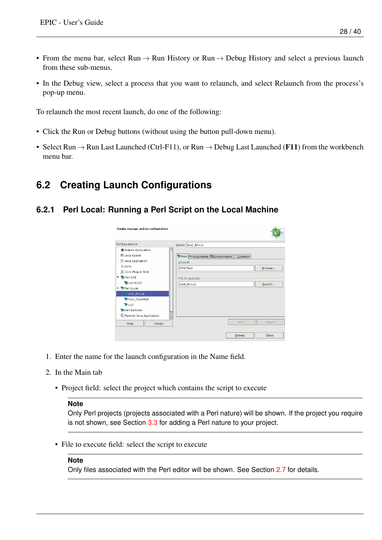- From the menu bar, select Run  $\rightarrow$  Run History or Run  $\rightarrow$  Debug History and select a previous launch from these sub-menus.
- In the Debug view, select a process that you want to relaunch, and select Relaunch from the process's pop-up menu.

To relaunch the most recent launch, do one of the following:

- Click the Run or Debug buttons (without using the button pull-down menu).
- Select Run  $\rightarrow$  Run Last Launched (Ctrl-F11), or Run  $\rightarrow$  Debug Last Launched (F11) from the workbench menu bar.

# <span id="page-31-0"></span>**6.2 Creating Launch Configurations**

### <span id="page-31-1"></span>**6.2.1 Perl Local: Running a Perl Script on the Local Machine**

| Create, manage, and run configurations |                                                             |        |
|----------------------------------------|-------------------------------------------------------------|--------|
| Configurations:                        | Name: test_Env.pl                                           |        |
| Edipse Application                     |                                                             |        |
| Java Applet                            | Main <sup>(x)=</sup> Arguments <b>76</b> Environment Common |        |
| Java Application                       | Project:                                                    |        |
| Ju JUnit                               | <b>FPICTest</b>                                             | Browse |
| Junit Plug-in Test                     |                                                             |        |
| ▽ SPerl CGI                            | File to execute:                                            |        |
| $x$ -pl (CGI)                          | test_Env.pl                                                 | Search |
| ▽ MiPerl Local                         |                                                             |        |
| test_Env.pl                            |                                                             |        |
| <b>Witest OpenSub</b>                  |                                                             |        |
| <b>S</b> x.pl                          |                                                             |        |
| Perl Remote                            |                                                             |        |
| 민, Remote Java Application             | $\overline{\phantom{0}}$                                    |        |
| Delete<br>New                          | Apply                                                       | Revert |
|                                        | Debug                                                       | Close  |

- 1. Enter the name for the launch configuration in the Name field.
- 2. In the Main tab
	- Project field: select the project which contains the script to execute

### **Note**

Only Perl projects (projects associated with a Perl nature) will be shown. If the project you require is not shown, see Section [3.3](#page-13-0) for adding a Perl nature to your project.

• File to execute field: select the script to execute

#### **Note**

Only files associated with the Perl editor will be shown. See Section [2.7](#page-10-0) for details.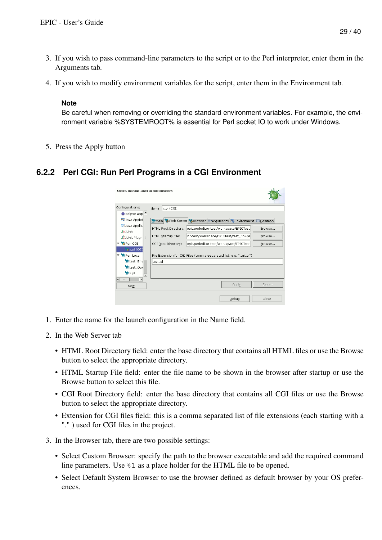- 3. If you wish to pass command-line parameters to the script or to the Perl interpreter, enter them in the Arguments tab.
- 4. If you wish to modify environment variables for the script, enter them in the Environment tab.

#### **Note**

Be careful when removing or overriding the standard environment variables. For example, the environment variable %SYSTEMROOT% is essential for Perl socket IO to work under Windows.

5. Press the Apply button

### <span id="page-32-0"></span>**6.2.2 Perl CGI: Run Perl Programs in a CGI Environment**

| Create, manage, and run configurations       |                                                                          |
|----------------------------------------------|--------------------------------------------------------------------------|
| Configurations:                              | Name: x.pl (CGI)                                                         |
| Eclipse App <sup>1</sup>                     |                                                                          |
| 5 Java Applet                                | Main Web Server SBrowser (X)=Arguments Fenvironment ECommon              |
| Java Applic                                  | HTML Root Directory: epic.perleditor-test/workspace/EPICTest<br>Browse   |
| <b>Jullunit</b>                              |                                                                          |
| Junit Plug-i                                 | cor-test/workspace/EPICTest/test Env.pl<br>HTML Startup File:<br>Browse  |
| ▽ SPerl CGI                                  | epic.perleditor-test/workspace/EPICTest<br>CGI Root Directory:<br>Browse |
| o x.pl (CGI                                  |                                                                          |
| ▽ Mineri Local                               | File Extension for CGI Files (comma-separated list, e.g. ".cgi,.pl"):    |
| <b>M</b> test Env                            | .cgi,.pl                                                                 |
| test_Ope                                     |                                                                          |
| <b>Mo</b> x pl<br>$\overline{\mathbf{v}}$    |                                                                          |
| $\blacktriangleright$<br>$\leftarrow$<br>III |                                                                          |
| <b>New</b>                                   | Apply<br>Revert                                                          |
|                                              | Debug<br>Close                                                           |

- 1. Enter the name for the launch configuration in the Name field.
- 2. In the Web Server tab
	- HTML Root Directory field: enter the base directory that contains all HTML files or use the Browse button to select the appropriate directory.
	- HTML Startup File field: enter the file name to be shown in the browser after startup or use the Browse button to select this file.
	- CGI Root Directory field: enter the base directory that contains all CGI files or use the Browse button to select the appropriate directory.
	- Extension for CGI files field: this is a comma separated list of file extensions (each starting with a "." ) used for CGI files in the project.
- 3. In the Browser tab, there are two possible settings:
	- Select Custom Browser: specify the path to the browser executable and add the required command line parameters. Use %1 as a place holder for the HTML file to be opened.
	- Select Default System Browser to use the browser defined as default browser by your OS preferences.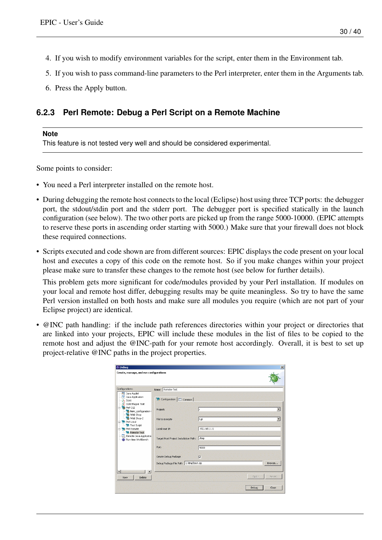- 4. If you wish to modify environment variables for the script, enter them in the Environment tab.
- 5. If you wish to pass command-line parameters to the Perl interpreter, enter them in the Arguments tab.
- 6. Press the Apply button.

### <span id="page-33-0"></span>**6.2.3 Perl Remote: Debug a Perl Script on a Remote Machine**

#### **Note**

This feature is not tested very well and should be considered experimental.

Some points to consider:

- You need a Perl interpreter installed on the remote host.
- During debugging the remote host connects to the local (Eclipse) host using three TCP ports: the debugger port, the stdout/stdin port and the stderr port. The debugger port is specified statically in the launch configuration (see below). The two other ports are picked up from the range 5000-10000. (EPIC attempts to reserve these ports in ascending order starting with 5000.) Make sure that your firewall does not block these required connections.
- Scripts executed and code shown are from different sources: EPIC displays the code present on your local host and executes a copy of this code on the remote host. So if you make changes within your project please make sure to transfer these changes to the remote host (see below for further details).

This problem gets more significant for code/modules provided by your Perl installation. If modules on your local and remote host differ, debugging results may be quite meaningless. So try to have the same Perl version installed on both hosts and make sure all modules you require (which are not part of your Eclipse project) are identical.

• @INC path handling: if the include path references directories within your project or directories that are linked into your projects, EPIC will include these modules in the list of files to be copied to the remote host and adjust the @INC-path for your remote host accordingly. Overall, it is best to set up project-relative @INC paths in the project properties.

| Name: Remote-Test<br>Java Applet<br>Java Application<br>Configuration   Common<br>Ju Junit<br>Junit Plug-in Test<br>Project:<br>Ir<br>New configuration<br>web Shop<br>Web Shop-2<br>t.pl<br>File to execute<br><b>Test Script</b><br>192.168.1.11<br>Local Host IP:<br>Remote-Test<br>Remote Java Application<br>Target Host Project Installation Path:<br>Atmp<br>Run-time Workbench<br>Port:<br>5000 | $\blacksquare$           |
|---------------------------------------------------------------------------------------------------------------------------------------------------------------------------------------------------------------------------------------------------------------------------------------------------------------------------------------------------------------------------------------------------------|--------------------------|
| Configurations:<br><b>B</b> Perl CGI<br><b>Elle Revised</b><br><b>El-Ma</b> Perl Remote                                                                                                                                                                                                                                                                                                                 |                          |
|                                                                                                                                                                                                                                                                                                                                                                                                         |                          |
|                                                                                                                                                                                                                                                                                                                                                                                                         |                          |
|                                                                                                                                                                                                                                                                                                                                                                                                         |                          |
|                                                                                                                                                                                                                                                                                                                                                                                                         | $\overline{\phantom{a}}$ |
|                                                                                                                                                                                                                                                                                                                                                                                                         |                          |
|                                                                                                                                                                                                                                                                                                                                                                                                         |                          |
|                                                                                                                                                                                                                                                                                                                                                                                                         |                          |
| Create Debug Package<br>$\overline{v}$                                                                                                                                                                                                                                                                                                                                                                  |                          |
| Debug Package File Path C:\tmp\test.zip<br>Browse                                                                                                                                                                                                                                                                                                                                                       |                          |
| Apply<br>Delete<br><b>New</b>                                                                                                                                                                                                                                                                                                                                                                           | Revert                   |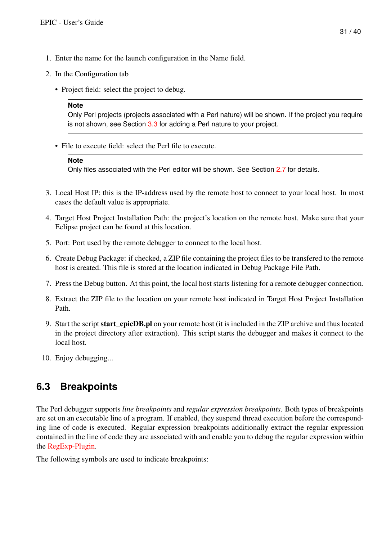- 1. Enter the name for the launch configuration in the Name field.
- 2. In the Configuration tab
	- Project field: select the project to debug.

#### **Note**

Only Perl projects (projects associated with a Perl nature) will be shown. If the project you require is not shown, see Section [3.3](#page-13-0) for adding a Perl nature to your project.

• File to execute field: select the Perl file to execute.

#### **Note**

Only files associated with the Perl editor will be shown. See Section [2.7](#page-10-0) for details.

- 3. Local Host IP: this is the IP-address used by the remote host to connect to your local host. In most cases the default value is appropriate.
- 4. Target Host Project Installation Path: the project's location on the remote host. Make sure that your Eclipse project can be found at this location.
- 5. Port: Port used by the remote debugger to connect to the local host.
- 6. Create Debug Package: if checked, a ZIP file containing the project files to be transfered to the remote host is created. This file is stored at the location indicated in Debug Package File Path.
- 7. Press the Debug button. At this point, the local host starts listening for a remote debugger connection.
- 8. Extract the ZIP file to the location on your remote host indicated in Target Host Project Installation Path.
- 9. Start the script start\_epicDB.pl on your remote host (it is included in the ZIP archive and thus located in the project directory after extraction). This script starts the debugger and makes it connect to the local host.
- 10. Enjoy debugging...

## <span id="page-34-0"></span>**6.3 Breakpoints**

The Perl debugger supports *line breakpoints* and *regular expression breakpoints*. Both types of breakpoints are set on an executable line of a program. If enabled, they suspend thread execution before the corresponding line of code is executed. Regular expression breakpoints additionally extract the regular expression contained in the line of code they are associated with and enable you to debug the regular expression within the [RegExp-Plugin.](#page-40-1)

The following symbols are used to indicate breakpoints: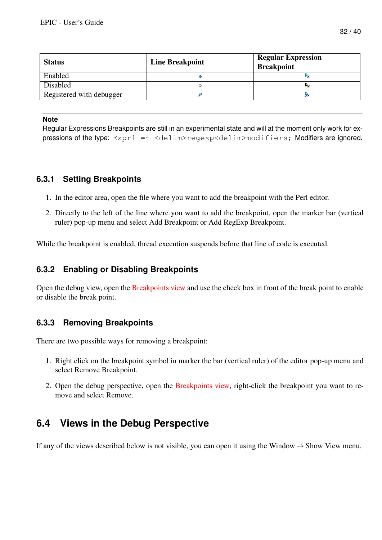| <b>Status</b>            | <b>Line Breakpoint</b> | <b>Regular Expression</b><br><b>Breakpoint</b> |
|--------------------------|------------------------|------------------------------------------------|
| Enabled                  |                        |                                                |
| Disabled                 |                        | $R_{\times}$                                   |
| Registered with debugger |                        | JХ                                             |

#### **Note**

Regular Expressions Breakpoints are still in an experimental state and will at the moment only work for expressions of the type:  $Expr1 = \sim \text{delim}\text{regexp}\text{delim}\text{modifiers}$ ; Modifiers are ignored.

### <span id="page-35-0"></span>**6.3.1 Setting Breakpoints**

- 1. In the editor area, open the file where you want to add the breakpoint with the Perl editor.
- 2. Directly to the left of the line where you want to add the breakpoint, open the marker bar (vertical ruler) pop-up menu and select Add Breakpoint or Add RegExp Breakpoint.

While the breakpoint is enabled, thread execution suspends before that line of code is executed.

### <span id="page-35-1"></span>**6.3.2 Enabling or Disabling Breakpoints**

Open the debug view, open the [Breakpoints view](#page-38-3) and use the check box in front of the break point to enable or disable the break point.

### <span id="page-35-2"></span>**6.3.3 Removing Breakpoints**

There are two possible ways for removing a breakpoint:

- 1. Right click on the breakpoint symbol in marker the bar (vertical ruler) of the editor pop-up menu and select Remove Breakpoint.
- 2. Open the debug perspective, open the [Breakpoints view,](#page-38-3) right-click the breakpoint you want to remove and select Remove.

## <span id="page-35-3"></span>**6.4 Views in the Debug Perspective**

If any of the views described below is not visible, you can open it using the Window  $\rightarrow$  Show View menu.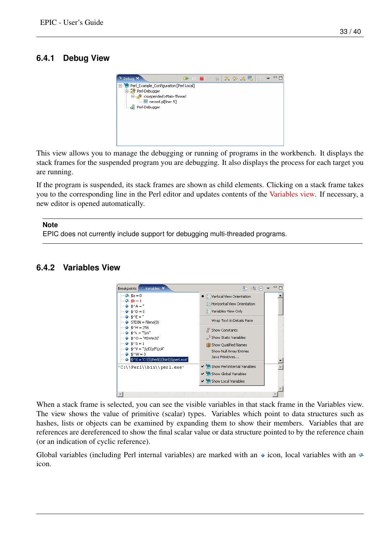## <span id="page-36-0"></span>**6.4.1 Debug View**



This view allows you to manage the debugging or running of programs in the workbench. It displays the stack frames for the suspended program you are debugging. It also displays the process for each target you are running.

If the program is suspended, its stack frames are shown as child elements. Clicking on a stack frame takes you to the corresponding line in the Perl editor and updates contents of the [Variables view.](#page-36-2) If necessary, a new editor is opened automatically.

#### **Note**

EPIC does not currently include support for debugging multi-threaded programs.

### <span id="page-36-2"></span><span id="page-36-1"></span>**6.4.2 Variables View**



When a stack frame is selected, you can see the visible variables in that stack frame in the Variables view. The view shows the value of primitive (scalar) types. Variables which point to data structures such as hashes, lists or objects can be examined by expanding them to show their members. Variables that are references are dereferenced to show the final scalar value or data structure pointed to by the reference chain (or an indication of cyclic reference).

Global variables (including Perl internal variables) are marked with an  $\bullet$  icon, local variables with an  $\bullet$ icon.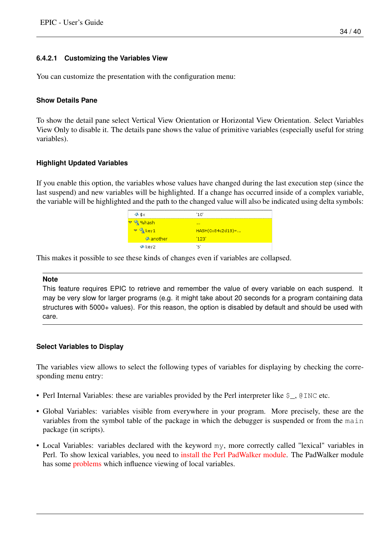#### <span id="page-37-0"></span>**6.4.2.1 Customizing the Variables View**

You can customize the presentation with the configuration menu:

#### **Show Details Pane**

To show the detail pane select Vertical View Orientation or Horizontal View Orientation. Select Variables View Only to disable it. The details pane shows the value of primitive variables (especially useful for string variables).

#### **Highlight Updated Variables**

If you enable this option, the variables whose values have changed during the last execution step (since the last suspend) and new variables will be highlighted. If a change has occurred inside of a complex variable, the variable will be highlighted and the path to the changed value will also be indicated using delta symbols:

| $4$ \$ $\times$                   | '10'                 |
|-----------------------------------|----------------------|
| <b>☆</b> %hash                    | <b>ALC N</b>         |
| $\triangledown \frac{1}{2}$ key 1 | $HASH(0x84c2d18) = $ |
| <mark>♦ another</mark>            | '123'                |
| √ key2                            | 'ה                   |

This makes it possible to see these kinds of changes even if variables are collapsed.

#### **Note**

This feature requires EPIC to retrieve and remember the value of every variable on each suspend. It may be very slow for larger programs (e.g. it might take about 20 seconds for a program containing data structures with 5000+ values). For this reason, the option is disabled by default and should be used with care.

#### **Select Variables to Display**

The variables view allows to select the following types of variables for displaying by checking the corresponding menu entry:

- Perl Internal Variables: these are variables provided by the Perl interpreter like  $\zeta$ , @INC etc.
- Global Variables: variables visible from everywhere in your program. More precisely, these are the variables from the symbol table of the package in which the debugger is suspended or from the main package (in scripts).
- Local Variables: variables declared with the keyword my, more correctly called "lexical" variables in Perl. To show lexical variables, you need to [install the Perl PadWalker module.](#page-11-1) The PadWalker module has some [problems](#page-0-0) which influence viewing of local variables.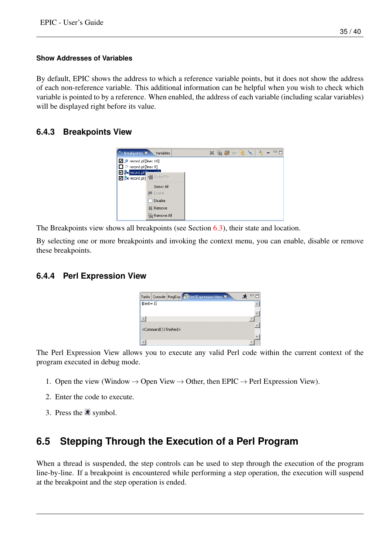#### **Show Addresses of Variables**

By default, EPIC shows the address to which a reference variable points, but it does not show the address of each non-reference variable. This additional information can be helpful when you wish to check which variable is pointed to by a reference. When enabled, the address of each variable (including scalar variables) will be displayed right before its value.

### <span id="page-38-3"></span><span id="page-38-0"></span>**6.4.3 Breakpoints View**

| <b><i>S</i></b> Breakpoints X<br>Variables                                                                                               |  | $x \times x \rightarrow 0$ |  |  |  |
|------------------------------------------------------------------------------------------------------------------------------------------|--|----------------------------|--|--|--|
| $\Box$ $\mathcal P$ record.pl [line: 10]<br>$\Box$ $\circ$ record.pl [line: 9]<br>Max record.pl ["max 111"<br>V X record.pl   Go to File |  |                            |  |  |  |
| Select All<br>Enable<br>Disable<br>翼 Remove<br>Remove All                                                                                |  |                            |  |  |  |

The Breakpoints view shows all breakpoints (see Section [6.3\)](#page-34-0), their state and location.

By selecting one or more breakpoints and invoking the context menu, you can enable, disable or remove these breakpoints.

#### <span id="page-38-1"></span>**6.4.4 Perl Expression View**

|             |                                       | Tasks Console RegExp 2 Perl Expression View X |  |  |
|-------------|---------------------------------------|-----------------------------------------------|--|--|
| $$test = 1$ |                                       |                                               |  |  |
|             |                                       |                                               |  |  |
|             |                                       |                                               |  |  |
|             | <command(1) finished=""></command(1)> |                                               |  |  |
|             |                                       |                                               |  |  |
|             |                                       |                                               |  |  |

The Perl Expression View allows you to execute any valid Perl code within the current context of the program executed in debug mode.

- 1. Open the view (Window  $\rightarrow$  Open View  $\rightarrow$  Other, then EPIC  $\rightarrow$  Perl Expression View).
- 2. Enter the code to execute.
- 3. Press the  $\star$  symbol.

## <span id="page-38-2"></span>**6.5 Stepping Through the Execution of a Perl Program**

When a thread is suspended, the step controls can be used to step through the execution of the program line-by-line. If a breakpoint is encountered while performing a step operation, the execution will suspend at the breakpoint and the step operation is ended.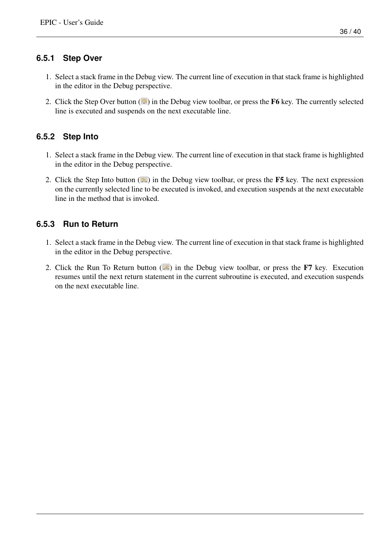### <span id="page-39-0"></span>**6.5.1 Step Over**

- 1. Select a stack frame in the Debug view. The current line of execution in that stack frame is highlighted in the editor in the Debug perspective.
- 2. Click the Step Over button  $(\bullet)$  in the Debug view toolbar, or press the F6 key. The currently selected line is executed and suspends on the next executable line.

### <span id="page-39-1"></span>**6.5.2 Step Into**

- 1. Select a stack frame in the Debug view. The current line of execution in that stack frame is highlighted in the editor in the Debug perspective.
- 2. Click the Step Into button  $(\sqrt{2})$  in the Debug view toolbar, or press the F5 key. The next expression on the currently selected line to be executed is invoked, and execution suspends at the next executable line in the method that is invoked.

### <span id="page-39-2"></span>**6.5.3 Run to Return**

- 1. Select a stack frame in the Debug view. The current line of execution in that stack frame is highlighted in the editor in the Debug perspective.
- 2. Click the Run To Return button  $(\cdot \hat{\epsilon})$  in the Debug view toolbar, or press the F7 key. Execution resumes until the next return statement in the current subroutine is executed, and execution suspends on the next executable line.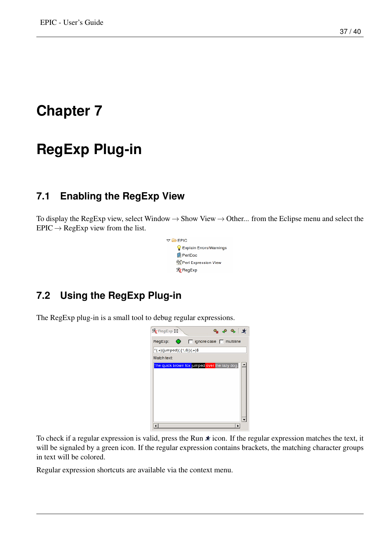# <span id="page-40-0"></span>**RegExp Plug-in**

## <span id="page-40-1"></span>**7.1 Enabling the RegExp View**

To display the RegExp view, select Window  $\rightarrow$  Show View  $\rightarrow$  Other... from the Eclipse menu and select the  $EPIC \rightarrow RegExp$  view from the list.



# <span id="page-40-2"></span>**7.2 Using the RegExp Plug-in**

The RegExp plug-in is a small tool to debug regular expressions.

| $\mathcal{R}_1$ RegExp $\boxtimes$<br>$\bullet$ $\bullet$ $\bullet$ $\star$ |
|-----------------------------------------------------------------------------|
| $\bullet$<br>RegExp:<br>$\Box$ ignore case $\Box$ multiline                 |
| $^(.+)$ (jumped)(.{1,6})(.+)\$                                              |
| Match text:                                                                 |
| The quick brown fox jumped over the lazy dog.                               |
|                                                                             |
|                                                                             |
|                                                                             |
|                                                                             |
|                                                                             |
|                                                                             |
|                                                                             |
|                                                                             |

To check if a regular expression is valid, press the Run  $\ast$  icon. If the regular expression matches the text, it will be signaled by a green icon. If the regular expression contains brackets, the matching character groups in text will be colored.

Regular expression shortcuts are available via the context menu.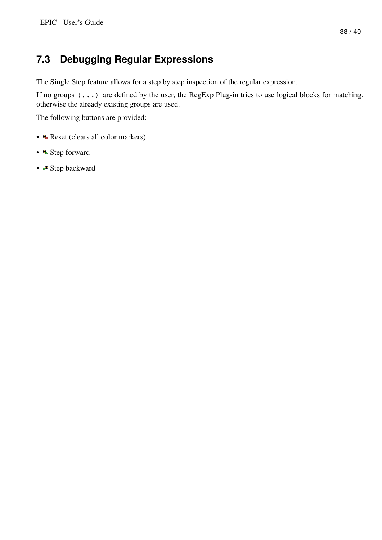#### 38 / 40

# <span id="page-41-0"></span>**7.3 Debugging Regular Expressions**

The Single Step feature allows for a step by step inspection of the regular expression.

If no groups  $(\ldots)$  are defined by the user, the RegExp Plug-in tries to use logical blocks for matching, otherwise the already existing groups are used.

The following buttons are provided:

- **Reset (clears all color markers)**
- • Step forward
- **•** Step backward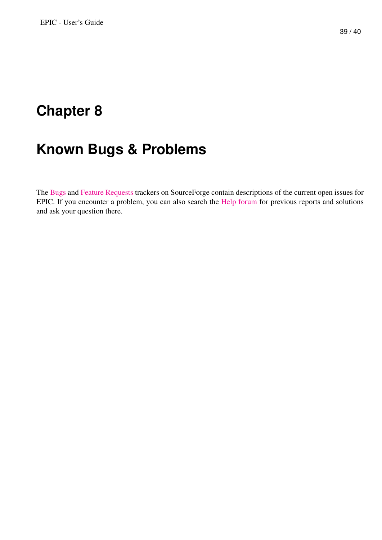# <span id="page-42-0"></span>**Known Bugs & Problems**

The [Bugs](http://sourceforge.net/tracker/?group_id=75859&atid=545274) and [Feature Requests](http://sourceforge.net/tracker/?group_id=75859&atid=545277) trackers on SourceForge contain descriptions of the current open issues for EPIC. If you encounter a problem, you can also search the [Help forum](http://sourceforge.net/forum/forum.php?forum_id=258688) for previous reports and solutions and ask your question there.